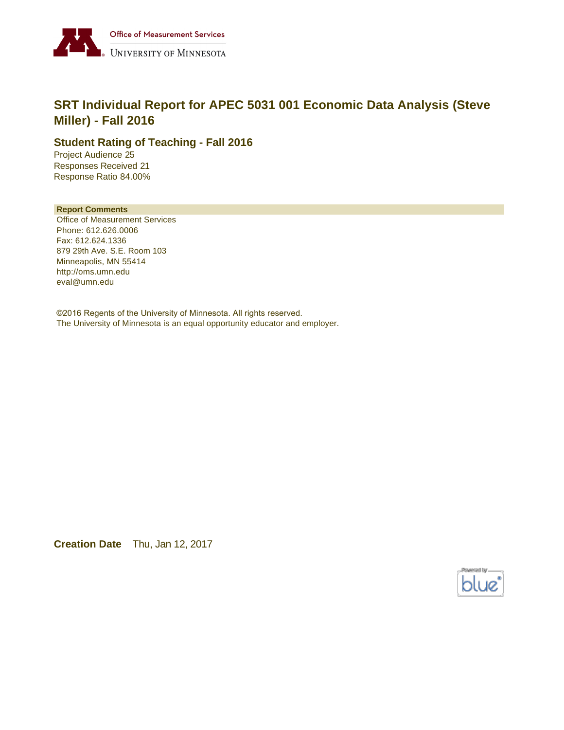

# **SRT Individual Report for APEC 5031 001 Economic Data Analysis (Steve Miller) - Fall 2016**

### **Student Rating of Teaching - Fall 2016**

Project Audience 25 Responses Received 21 Response Ratio 84.00%

#### **Report Comments**

Office of Measurement Services Phone: 612.626.0006 Fax: 612.624.1336 879 29th Ave. S.E. Room 103 Minneapolis, MN 55414 http://oms.umn.edu eval@umn.edu

©2016 Regents of the University of Minnesota. All rights reserved. The University of Minnesota is an equal opportunity educator and employer.

**Creation Date** Thu, Jan 12, 2017

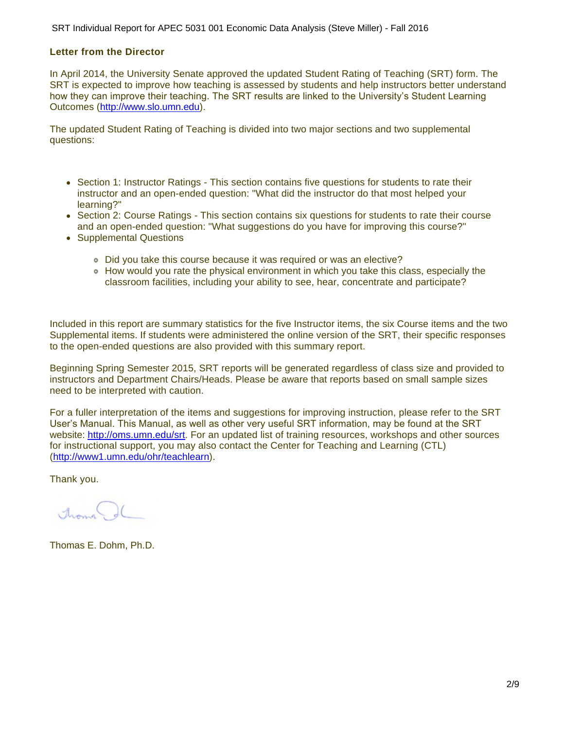#### **Letter from the Director**

In April 2014, the University Senate approved the updated Student Rating of Teaching (SRT) form. The SRT is expected to improve how teaching is assessed by students and help instructors better understand how they can improve their teaching. The SRT results are linked to the University's Student Learning Outcomes ([http://www.slo.umn.edu\)](http://www.slo.umn.edu).

The updated Student Rating of Teaching is divided into two major sections and two supplemental questions:

- Section 1: Instructor Ratings This section contains five questions for students to rate their instructor and an open-ended question: "What did the instructor do that most helped your learning?"
- Section 2: Course Ratings This section contains six questions for students to rate their course and an open-ended question: "What suggestions do you have for improving this course?"
- Supplemental Questions
	- Did you take this course because it was required or was an elective?
	- How would you rate the physical environment in which you take this class, especially the classroom facilities, including your ability to see, hear, concentrate and participate?

Included in this report are summary statistics for the five Instructor items, the six Course items and the two Supplemental items. If students were administered the online version of the SRT, their specific responses to the open-ended questions are also provided with this summary report.

Beginning Spring Semester 2015, SRT reports will be generated regardless of class size and provided to instructors and Department Chairs/Heads. Please be aware that reports based on small sample sizes need to be interpreted with caution.

For a fuller interpretation of the items and suggestions for improving instruction, please refer to the SRT User's Manual. This Manual, as well as other very useful SRT information, may be found at the SRT website:<http://oms.umn.edu/srt>. For an updated list of training resources, workshops and other sources for instructional support, you may also contact the Center for Teaching and Learning (CTL) (<http://www1.umn.edu/ohr/teachlearn>).

Thank you.

America

Thomas E. Dohm, Ph.D.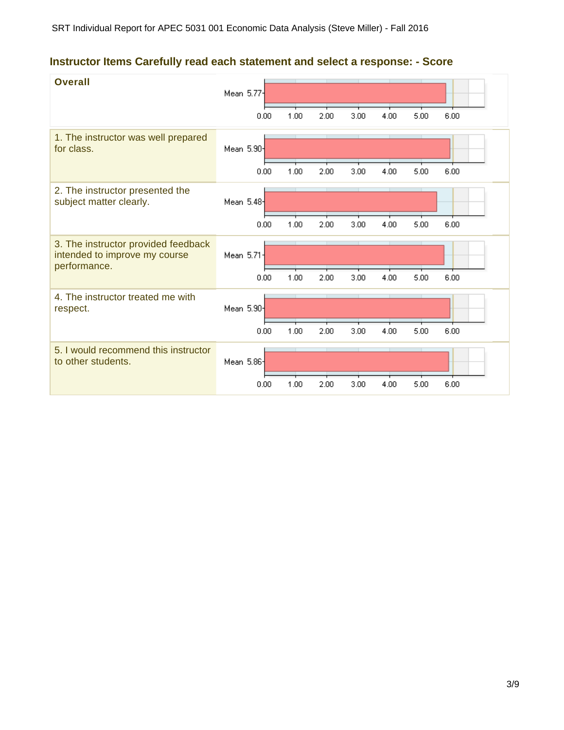## **Instructor Items Carefully read each statement and select a response: - Score**

| <b>Overall</b>                                                                       | Mean 5.77  |      |      |      |      |      |      |      |
|--------------------------------------------------------------------------------------|------------|------|------|------|------|------|------|------|
|                                                                                      |            | 0.00 | 1.00 | 2.00 | 3.00 | 4.00 | 5.00 | 6.00 |
| 1. The instructor was well prepared<br>for class.                                    | Mean 5.90- |      |      |      |      |      |      |      |
|                                                                                      |            | 0.00 | 1.00 | 2.00 | 3.00 | 4.00 | 5.00 | 6.00 |
| 2. The instructor presented the<br>subject matter clearly.                           | Mean 5.48  |      |      |      |      |      |      |      |
|                                                                                      |            | 0.00 | 1.00 | 2.00 | 3.00 | 4.00 | 5.00 | 6.00 |
| 3. The instructor provided feedback<br>intended to improve my course<br>performance. | Mean 5.71  |      |      |      |      |      |      |      |
|                                                                                      |            | 0.00 | 1.00 | 2.00 | 3.00 | 4.00 | 5.00 | 6.00 |
| 4. The instructor treated me with<br>respect.                                        | Mean 5.90  |      |      |      |      |      |      |      |
|                                                                                      |            | 0.00 | 1.00 | 2.00 | 3.00 | 4.00 | 5.00 | 6.00 |
| 5. I would recommend this instructor<br>to other students.                           | Mean 5.86  |      |      |      |      |      |      |      |
|                                                                                      |            | 0.00 | 1.00 | 2.00 | 3.00 | 4.00 | 5.00 | 6.00 |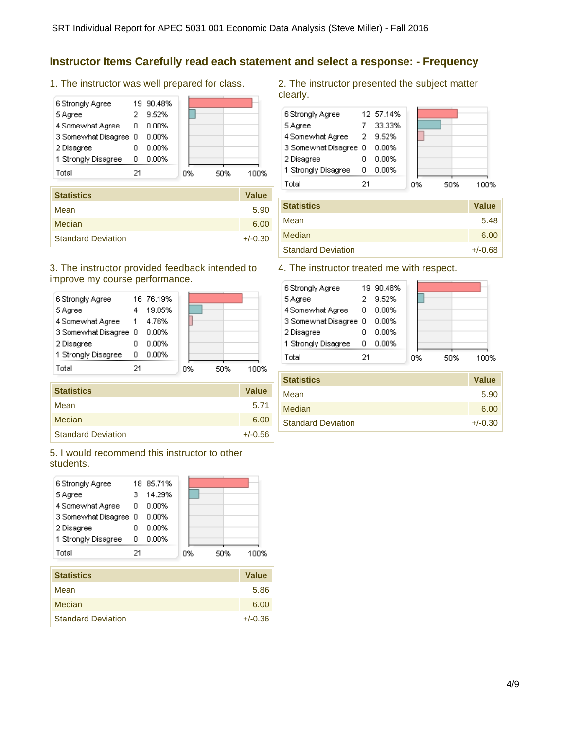## **Instructor Items Carefully read each statement and select a response: - Frequency**

1. The instructor was well prepared for class.

| 6 Strongly Agree      |    | 19 90.48% |    |     |      |
|-----------------------|----|-----------|----|-----|------|
| 5 Agree               |    | 9.52%     |    |     |      |
| 4 Somewhat Agree      | 0  | 0.00%     |    |     |      |
| 3 Somewhat Disagree 0 |    | 0.00%     |    |     |      |
| 2 Disagree            |    | 0.00%     |    |     |      |
| 1 Strongly Disagree   | ο  | 0.00%     |    |     |      |
| Total                 | 21 |           | 0% | 50% | 100% |
|                       |    |           |    |     |      |

| <b>Statistics</b>         | <b>Value</b> |
|---------------------------|--------------|
| Mean                      | 5.90         |
| Median                    | 6.00         |
| <b>Standard Deviation</b> | $+/-0.30$    |

#### 3. The instructor provided feedback intended to improve my course performance.

| 100% |
|------|
|      |

| <b>Statistics</b>         | <b>Value</b> |
|---------------------------|--------------|
| Mean                      | 5.71         |
| Median                    | 6.00         |
| <b>Standard Deviation</b> | $+/-0.56$    |

5. I would recommend this instructor to other students.

|    | 14.29%                |           |     |      |
|----|-----------------------|-----------|-----|------|
| 0  | 0.00%                 |           |     |      |
|    | 0.00%                 |           |     |      |
|    | 0.00%                 |           |     |      |
| Ω  | 0.00%                 |           |     |      |
| 21 |                       | 0%        | 50% | 100% |
|    | 3 Somewhat Disagree 0 | 18 85.71% |     |      |

| <b>Statistics</b>         | <b>Value</b> |
|---------------------------|--------------|
| Mean                      | 5.86         |
| Median                    | 6.00         |
| <b>Standard Deviation</b> | $+/-0.36$    |

2. The instructor presented the subject matter clearly.



| <b>Statistics</b>         | <b>Value</b> |
|---------------------------|--------------|
| Mean                      | 5.48         |
| Median                    | 6.00         |
| <b>Standard Deviation</b> | $+/-0.68$    |

### 4. The instructor treated me with respect.

|    | 9.52%                                     |           |     |      |
|----|-------------------------------------------|-----------|-----|------|
| 0  | 0.00%                                     |           |     |      |
|    | 0.00%                                     |           |     |      |
|    | 0.00%                                     |           |     |      |
| 0  | 0.00%                                     |           |     |      |
| 21 |                                           |           | 50% | 100% |
|    | 4 Somewhat Agree<br>3 Somewhat Disagree 0 | 19 90.48% | 0%  |      |

| <b>Value</b> |
|--------------|
| 5.90         |
| 6.00         |
| $+/-0.30$    |
|              |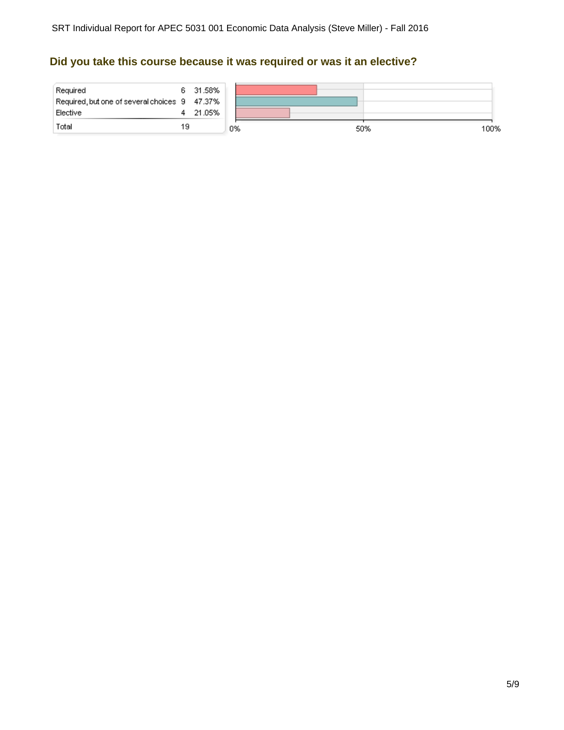## **Did you take this course because it was required or was it an elective?**

| Required<br>Required, but one of several choices 9 47.37%<br>Elective |    | 6 31.58%<br>4 21.05% |    |             |
|-----------------------------------------------------------------------|----|----------------------|----|-------------|
| Total                                                                 | 19 |                      | 0% | 50%<br>100% |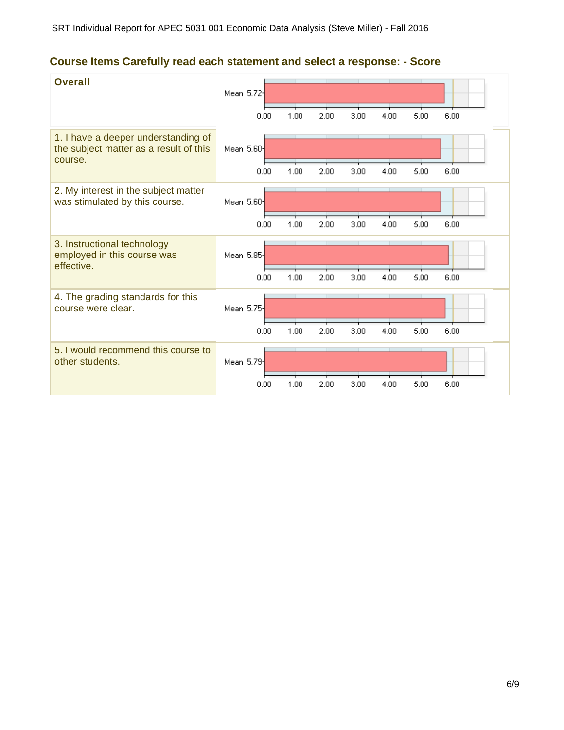## **Course Items Carefully read each statement and select a response: - Score**

| <b>Overall</b>                                                                           | Mean 5.72  | 0.00 | 1.00 | 2.00 | 3.00 | 4.00 | 5.00 | 6.00 |
|------------------------------------------------------------------------------------------|------------|------|------|------|------|------|------|------|
| 1. I have a deeper understanding of<br>the subject matter as a result of this<br>course. | Mean 5.60- |      |      |      |      |      |      |      |
|                                                                                          |            | 0.00 | 1.00 | 2.00 | 3.00 | 4.00 | 5.00 | 6.00 |
| 2. My interest in the subject matter<br>was stimulated by this course.                   | Mean 5.60  |      |      |      |      |      |      |      |
|                                                                                          |            | 0.00 | 1.00 | 2.00 | 3.00 | 4.00 | 5.00 | 6.00 |
| 3. Instructional technology<br>employed in this course was<br>effective.                 | Mean 5.85  |      |      |      |      |      |      |      |
|                                                                                          |            | 0.00 | 1.00 | 2.00 | 3.00 | 4.00 | 5.00 | 6.00 |
| 4. The grading standards for this<br>course were clear.                                  | Mean 5.75  |      |      |      |      |      |      |      |
|                                                                                          |            | 0.00 | 1.00 | 2.00 | 3.00 | 4.00 | 5.00 | 6.00 |
| 5. I would recommend this course to<br>other students.                                   | Mean 5.79- |      |      |      |      |      |      |      |
|                                                                                          |            | 0.00 | 1.00 | 2.00 | 3.00 | 4.00 | 5.00 | 6.00 |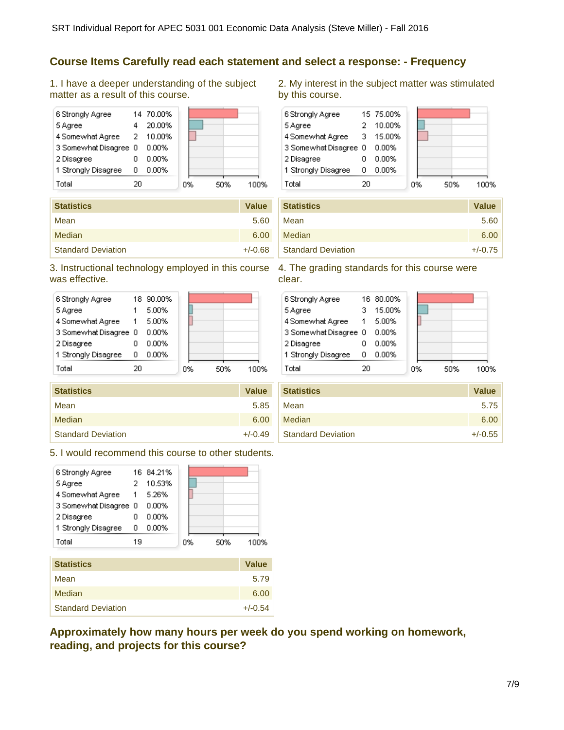### **Course Items Carefully read each statement and select a response: - Frequency**

1. I have a deeper understanding of the subject matter as a result of this course.



| <b>Statistics</b>         | <b>Value</b> |
|---------------------------|--------------|
| Mean                      | 5.60         |
| Median                    | 6.00         |
| <b>Standard Deviation</b> | $+/-0.68$    |

### 3. Instructional technology employed in this course 4. The grading standards for this course were was effective.

| 6 Strongly Agree      |    | 18 90.00% |    |     |    |
|-----------------------|----|-----------|----|-----|----|
| 5 Agree               |    | 5.00%     |    |     |    |
| 4 Somewhat Agree      | 1  | 5.00%     |    |     |    |
| 3 Somewhat Disagree 0 |    | $0.00\%$  |    |     |    |
| 2 Disagree            |    | 0.00%     |    |     |    |
| 1 Strongly Disagree   | п  | $0.00\%$  |    |     |    |
| Total                 | 20 |           | 0% | 50% | 7% |

| <b>Statistics</b>         | <b>Value</b> |
|---------------------------|--------------|
| Mean                      | 5.85         |
| Median                    | 6.00         |
| <b>Standard Deviation</b> | $+/-0.49$    |

5. I would recommend this course to other students.



| <b>URRISHUS</b>           | $\mathbf v$ and $\mathbf v$ |
|---------------------------|-----------------------------|
| Mean                      | 5.79                        |
| Median                    | 6.00                        |
| <b>Standard Deviation</b> | $+/-0.54$                   |

**Approximately how many hours per week do you spend working on homework, reading, and projects for this course?**

2. My interest in the subject matter was stimulated by this course.



| <b>Statistics</b>         | <b>Value</b> |
|---------------------------|--------------|
| Mean                      | 5.60         |
| Median                    | 6.00         |
| <b>Standard Deviation</b> | $+/-0.75$    |

clear.

| 50%<br>1በበ% |
|-------------|
|             |

| <b>Statistics</b>         | <b>Value</b> |
|---------------------------|--------------|
| Mean                      | 5.75         |
| Median                    | 6.00         |
| <b>Standard Deviation</b> | $+/-0.55$    |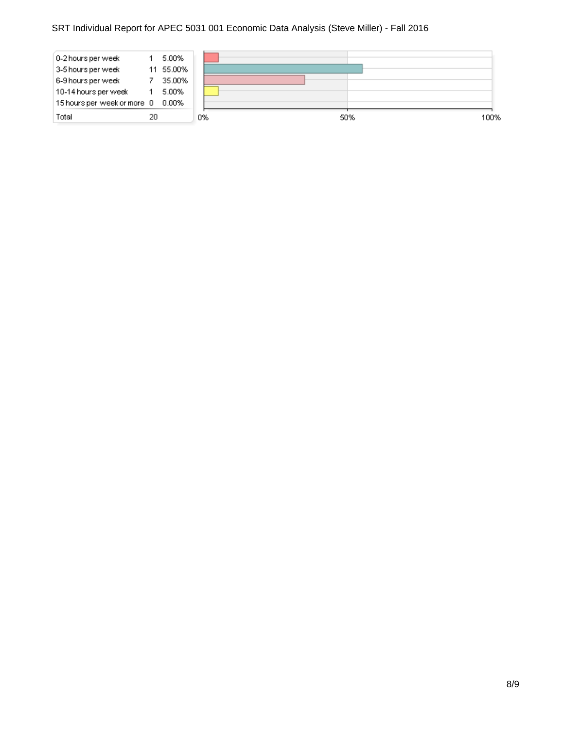### SRT Individual Report for APEC 5031 001 Economic Data Analysis (Steve Miller) - Fall 2016